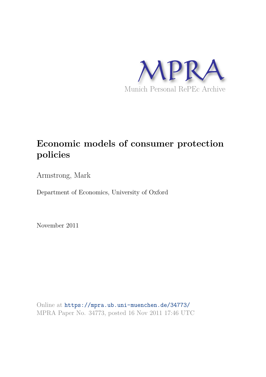

# **Economic models of consumer protection policies**

Armstrong, Mark

Department of Economics, University of Oxford

November 2011

Online at https://mpra.ub.uni-muenchen.de/34773/ MPRA Paper No. 34773, posted 16 Nov 2011 17:46 UTC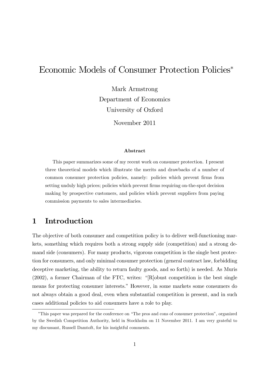## Economic Models of Consumer Protection Policies

Mark Armstrong Department of Economics University of Oxford

November 2011

#### Abstract

This paper summarizes some of my recent work on consumer protection. I present three theoretical models which illustrate the merits and drawbacks of a number of common consumer protection policies, namely: policies which prevent firms from setting unduly high prices; policies which prevent firms requiring on-the-spot decision making by prospective customers, and policies which prevent suppliers from paying commission payments to sales intermediaries.

## 1 Introduction

The objective of both consumer and competition policy is to deliver well-functioning markets, something which requires both a strong supply side (competition) and a strong demand side (consumers). For many products, vigorous competition is the single best protection for consumers, and only minimal consumer protection (general contract law, forbidding deceptive marketing, the ability to return faulty goods, and so forth) is needed. As Muris  $(2002)$ , a former Chairman of the FTC, writes: "[R]obust competition is the best single means for protecting consumer interests." However, in some markets some consumers do not always obtain a good deal, even when substantial competition is present, and in such cases additional policies to aid consumers have a role to play.

<sup>&</sup>lt;sup>\*</sup>This paper was prepared for the conference on "The pros and cons of consumer protection", organized by the Swedish Competition Authority, held in Stockholm on 11 November 2011. I am very grateful to my discussant, Russell Damtoft, for his insightful comments.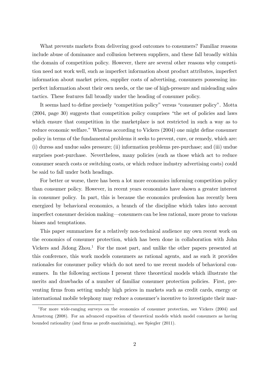What prevents markets from delivering good outcomes to consumers? Familiar reasons include abuse of dominance and collusion between suppliers, and these fall broadly within the domain of competition policy. However, there are several other reasons why competition need not work well, such as imperfect information about product attributes, imperfect information about market prices, supplier costs of advertising, consumers possessing imperfect information about their own needs, or the use of high-pressure and misleading sales tactics. These features fall broadly under the heading of consumer policy.

It seems hard to define precisely "competition policy" versus "consumer policy". Motta  $(2004, \text{page } 30)$  suggests that competition policy comprises "the set of policies and laws which ensure that competition in the marketplace is not restricted in such a way as to reduce economic welfare." Whereas according to Vickers (2004) one might define consumer policy in terms of the fundamental problems it seeks to prevent, cure, or remedy, which are: (i) duress and undue sales pressure; (ii) information problems pre-purchase; and (iii) undue surprises post-purchase. Nevertheless, many policies (such as those which act to reduce consumer search costs or switching costs, or which reduce industry advertising costs) could be said to fall under both headings.

For better or worse, there has been a lot more economics informing competition policy than consumer policy. However, in recent years economists have shown a greater interest in consumer policy. In part, this is because the economics profession has recently been energized by behavioral economics, a branch of the discipline which takes into account imperfect consumer decision making—consumers can be less rational, more prone to various biases and temptations.

This paper summarizes for a relatively non-technical audience my own recent work on the economics of consumer protection, which has been done in collaboration with John Vickers and Jidong  $Zhou<sup>1</sup>$ . For the most part, and unlike the other papers presented at this conference, this work models consumers as rational agents, and as such it provides rationales for consumer policy which do not need to use recent models of behavioral consumers. In the following sections I present three theoretical models which illustrate the merits and drawbacks of a number of familiar consumer protection policies. First, preventing firms from setting unduly high prices in markets such as credit cards, energy or international mobile telephony may reduce a consumer's incentive to investigate their mar-

<sup>&</sup>lt;sup>1</sup>For more wide-ranging surveys on the economics of consumer protection, see Vickers (2004) and Armstrong (2008). For an advanced exposition of theoretical models which model consumers as having bounded rationality (and firms as profit-maximizing), see Spiegler (2011).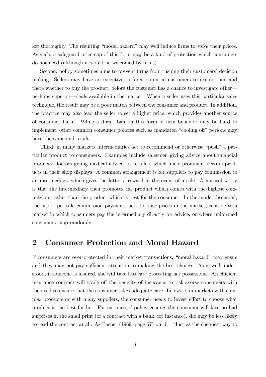ket thoroughly. The resulting "model hazard" may well induce firms to *raise* their prices. As such, a safeguard price cap of this form may be a kind of protection which consumers do not need (although it would be welcomed by firms).

Second, policy sometimes aims to prevent firms from rushing their customers' decision making. Sellers may have an incentive to force potential customers to decide then and there whether to buy the product, before the customer has a chance to investigate other perhaps superior—deals available in the market. When a seller uses this particular sales technique, the result may be a poor match between the consumer and product. In addition, the practice may also lead the seller to set a higher price, which provides another source of consumer harm. While a direct ban on this form of Örm behavior may be hard to implement, other common consumer policies such as mandated "cooling off" periods may have the same end result.

Third, in many markets intermediaries act to recommend or otherwise "push" a particular product to consumers. Examples include salesmen giving advice about financial products, doctors giving medical advice, or retailers which make prominent certain products in their shop displays. A common arrangement is for suppliers to pay commission to an intermediary which gives the latter a reward in the event of a sale. A natural worry is that the intermediary then promotes the product which comes with the highest commission, rather than the product which is best for the consumer. In the model discussed, the use of per-sale commission payments acts to raise prices in the market, relative to a market in which consumers pay the intermediary directly for advice, or where uniformed consumers shop randomly.

#### 2 Consumer Protection and Moral Hazard

If consumers are over-protected in their market transactions, "moral hazard" may ensue and they may not pay sufficient attention to making the best choices. As is well understood, if someone is insured, she will take less care protecting her possessions. An efficient insurance contract will trade off the benefits of insurance to risk-averse consumers with the need to ensure that the consumer takes adequate care. Likewise, in markets with complex products or with many suppliers, the consumer needs to invest effort to choose what product is the best for her. For instance, if policy ensures the consumer will face no bad surprises in the small print (of a contract with a bank, for instance), she may be less likely to read the contract at all. As Posner  $(1969, \text{page } 67)$  put it: "Just as the cheapest way to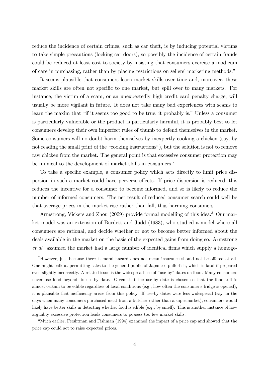reduce the incidence of certain crimes, such as car theft, is by inducing potential victims to take simple precautions (locking car doors), so possibly the incidence of certain frauds could be reduced at least cost to society by insisting that consumers exercise a modicum of care in purchasing, rather than by placing restrictions on sellers' marketing methods.<sup>"</sup>

It seems plausible that consumers learn market skills over time and, moreover, these market skills are often not specific to one market, but spill over to many markets. For instance, the victim of a scam, or an unexpectedly high credit card penalty charge, will usually be more vigilant in future. It does not take many bad experiences with scams to learn the maxim that "if it seems too good to be true, it probably is." Unless a consumer is particularly vulnerable or the product is particularly harmful, it is probably best to let consumers develop their own imperfect rules of thumb to defend themselves in the market. Some consumers will no doubt harm themselves by inexpertly cooking a chicken (say, by not reading the small print of the "cooking instructions"), but the solution is not to remove raw chicken from the market. The general point is that excessive consumer protection may be inimical to the development of market skills in consumers.<sup>2</sup>

To take a specific example, a consumer policy which acts directly to limit price dispersion in such a market could have perverse effects. If price dispersion is reduced, this reduces the incentive for a consumer to become informed, and so is likely to reduce the number of informed consumers. The net result of reduced consumer search could well be that average prices in the market rise rather than fall, thus harming consumers.

Armstrong, Vickers and Zhou (2009) provide formal modelling of this idea.<sup>3</sup> Our market model was an extension of Burdett and Judd (1983), who studied a model where all consumers are rational, and decide whether or not to become better informed about the deals available in the market on the basis of the expected gains from doing so. Armstrong et al. assumed the market had a large number of identical firms which supply a homoge-

<sup>3</sup>Much earlier, Fershtman and Fishman (1994) examined the impact of a price cap and showed that the price cap could act to raise expected prices.

 $2$ However, just because there is moral hazard does not mean insurance should not be offered at all. One might balk at permitting sales to the general public of Japanese pufferfish, which is fatal if prepared even slightly incorrectly. A related issue is the widespread use of "use-by" dates on food. Many consumers never use food beyond its use-by date. Given that the use-by date is chosen so that the foodstuff is almost certain to be edible regardless of local conditions (e.g., how often the consumer's fridge is opened), it is plausible that inefficiency arises from this policy. If use-by dates were less widespread (say, in the days when many consumers purchased meat from a butcher rather than a supermarket), consumers would likely have better skills in detecting whether food is edible (e.g., by smell). This is another instance of how arguably excessive protection leads consumers to possess too few market skills.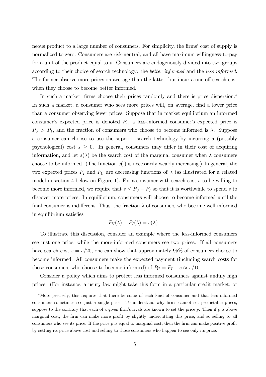neous product to a large number of consumers. For simplicity, the firms' cost of supply is normalized to zero. Consumers are risk-neutral, and all have maximum willingness-to-pay for a unit of the product equal to v. Consumers are endogenously divided into two groups according to their choice of search technology: the better informed and the less informed. The former observe more prices on average than the latter, but incur a one-off search cost when they choose to become better informed.

In such a market, firms choose their prices randomly and there is price dispersion.<sup>4</sup> In such a market, a consumer who sees more prices will, on average, find a lower price than a consumer observing fewer prices. Suppose that in market equilibrium an informed consumer's expected price is denoted  $P_I$ , a less-informed consumer's expected price is  $P_U > P_I$ , and the fraction of consumers who choose to become informed is  $\lambda$ . Suppose a consumer can choose to use the superior search technology by incurring a (possibly psychological) cost  $s \geq 0$ . In general, consumers may differ in their cost of acquiring information, and let  $s(\lambda)$  be the search cost of the marginal consumer when  $\lambda$  consumers choose to be informed. (The function  $s(.)$  is necessarily weakly increasing.) In general, the two expected prices  $P_I$  and  $P_U$  are decreasing functions of  $\lambda$  (as illustrated for a related model in section 4 below on Figure 1). For a consumer with search cost s to be willing to become more informed, we require that  $s \leq P_U - P_I$  so that it is worthwhile to spend s to discover more prices. In equilibrium, consumers will choose to become informed until the final consumer is indifferent. Thus, the fraction  $\lambda$  of consumers who become well informed in equilibrium satisfies

$$
P_U(\lambda) - P_I(\lambda) = s(\lambda) .
$$

To illustrate this discussion, consider an example where the less-informed consumers see just one price, while the more-informed consumers see two prices. If all consumers have search cost  $s = v/20$ , one can show that approximately 95% of consumers choose to become informed. All consumers make the expected payment (including search costs for those consumers who choose to become informed) of  $P_U = P_I + s \approx v/10$ .

Consider a policy which aims to protect less informed consumers against unduly high prices. (For instance, a usury law might take this form in a particular credit market, or

<sup>4</sup>More precisely, this requires that there be some of each kind of consumer and that less informed consumers sometimes see just a single price. To understand why firms cannot set predictable prices, suppose to the contrary that each of a given firm's rivals are known to set the price  $p$ . Then if  $p$  is above marginal cost, the firm can make more profit by slightly undercutting this price, and so selling to all consumers who see its price. If the price  $p$  is equal to marginal cost, then the firm can make positive profit by setting its price above cost and selling to those consumers who happen to see only its price.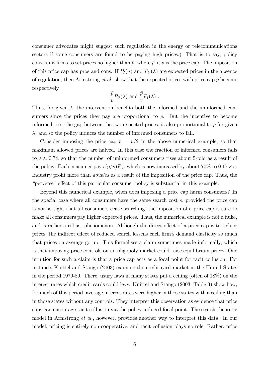consumer advocates might suggest such regulation in the energy or telecommunications sectors if some consumers are found to be paying high prices.) That is to say, policy constrains firms to set prices no higher than  $\bar{p}$ , where  $\bar{p} < v$  is the price cap. The imposition of this price cap has pros and cons. If  $P_I(\lambda)$  and  $P_U(\lambda)$  are expected prices in the absence of regulation, then Armstrong *et al.* show that the expected prices with price cap  $\bar{p}$  become respectively

$$
\frac{\bar{p}}{v}P_U(\lambda)
$$
 and  $\frac{\bar{p}}{v}P_I(\lambda)$ .

Thus, for given  $\lambda$ , the intervention benefits both the informed and the uninformed consumers since the prices they pay are proportional to  $\bar{p}$ . But the incentive to become informed, i.e., the gap between the two expected prices, is also proportional to  $\bar{p}$  for given  $\lambda$ , and so the policy induces the number of informed consumers to fall.

Consider imposing the price cap  $\bar{p} = v/2$  in the above numerical example, so that maximum allowed prices are halved. In this case the fraction of informed consumers falls to  $\lambda \approx 0.74$ , so that the number of uninformed consumers rises about 5-fold as a result of the policy. Each consumer pays  $(\bar{p}/v)P_U$ , which is now increased by about 70% to  $0.17 \times v$ . Industry profit more than *doubles* as a result of the imposition of the price cap. Thus, the "perverse" effect of this particular consumer policy is substantial in this example.

Beyond this numerical example, when does imposing a price cap harm consumers? In the special case where all consumers have the same search cost s, provided the price cap is not so tight that all consumers cease searching, the imposition of a price cap is sure to make all consumers pay higher expected prices. Thus, the numerical example is not a fluke, and is rather a robust phenomenon. Although the direct effect of a price cap is to reduce prices, the indirect effect of reduced search lessens each firm's demand elasticity so much that prices on average go up. This formalises a claim sometimes made informally, which is that imposing price controls on an oligopoly market could raise equilibrium prices. One intuition for such a claim is that a price cap acts as a focal point for tacit collusion. For instance, Knittel and Stango (2003) examine the credit card market in the United States in the period 1979-89. There, usury laws in many states put a ceiling (often of 18%) on the interest rates which credit cards could levy. Knittel and Stango (2003, Table 3) show how, for much of this period, average interest rates were higher in those states with a ceiling than in those states without any controls. They interpret this observation as evidence that price caps can encourage tacit collusion via the policy-induced focal point. The search-theoretic model in Armstrong et al., however, provides another way to interpret this data. In our model, pricing is entirely non-cooperative, and tacit collusion plays no role. Rather, price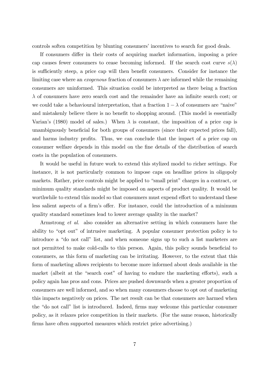controls soften competition by blunting consumers' incentives to search for good deals.

If consumers differ in their costs of acquiring market information, imposing a price cap causes fewer consumers to cease becoming informed. If the search cost curve  $s(\lambda)$ is sufficiently steep, a price cap will then benefit consumers. Consider for instance the limiting case where an *exogenous* fraction of consumers  $\lambda$  are informed while the remaining consumers are uninformed. This situation could be interpreted as there being a fraction  $\lambda$  of consumers have zero search cost and the remainder have an infinite search cost; or we could take a behavioural interpretation, that a fraction  $1 - \lambda$  of consumers are "naive" and mistakenly believe there is no benefit to shopping around. (This model is essentially Varian's (1980) model of sales.) When  $\lambda$  is constant, the imposition of a price cap is unambiguously beneficial for both groups of consumers (since their expected prices fall), and harms industry profits. Thus, we can conclude that the impact of a price cap on consumer welfare depends in this model on the fine details of the distribution of search costs in the population of consumers.

It would be useful in future work to extend this stylized model to richer settings. For instance, it is not particularly common to impose caps on headline prices in oligopoly markets. Rather, price controls might be applied to "small print" charges in a contract, or minimum quality standards might be imposed on aspects of product quality. It would be worthwhile to extend this model so that consumers must expend effort to understand these less salient aspects of a firm's offer. For instance, could the introduction of a minimum quality standard sometimes lead to lower average quality in the market?

Armstrong et al. also consider an alternative setting in which consumers have the ability to "opt out" of intrusive marketing. A popular consumer protection policy is to introduce a "do not call" list, and when someone signs up to such a list marketers are not permitted to make cold-calls to this person. Again, this policy sounds beneficial to consumers, as this form of marketing can be irritating. However, to the extent that this form of marketing allows recipients to become more informed about deals available in the market (albeit at the "search cost" of having to endure the marketing efforts), such a policy again has pros and cons. Prices are pushed downwards when a greater proportion of consumers are well informed, and so when many consumers choose to opt out of marketing this impacts negatively on prices. The net result can be that consumers are harmed when the "do not call" list is introduced. Indeed, firms may welcome this particular consumer policy, as it relaxes price competition in their markets. (For the same reason, historically firms have often supported measures which restrict price advertising.)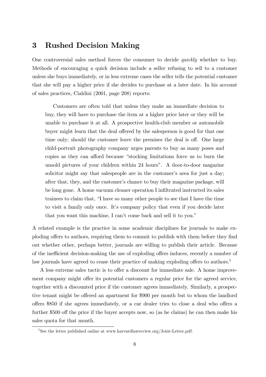## 3 Rushed Decision Making

One controversial sales method forces the consumer to decide quickly whether to buy. Methods of encouraging a quick decision include a seller refusing to sell to a customer unless she buys immediately, or in less extreme cases the seller tells the potential customer that she will pay a higher price if she decides to purchase at a later date. In his account of sales practices, Cialdini (2001, page 208) reports:

Customers are often told that unless they make an immediate decision to buy, they will have to purchase the item at a higher price later or they will be unable to purchase it at all. A prospective health-club member or automobile buyer might learn that the deal offered by the salesperson is good for that one time only; should the customer leave the premises the deal is off. One large child-portrait photography company urges parents to buy as many poses and copies as they can afford because "stocking limitations force us to burn the unsold pictures of your children within 24 hours". A door-to-door magazine solicitor might say that salespeople are in the customer's area for just a day; after that, they, and the customer's chance to buy their magazine package, will be long gone. A home vacuum cleaner operation I infiltrated instructed its sales trainees to claim that, "I have so many other people to see that I have the time to visit a family only once. Itís company policy that even if you decide later that you want this machine, I can't come back and sell it to you."

A related example is the practice in some academic disciplines for journals to make exploding offers to authors, requiring them to commit to publish with them before they find out whether other, perhaps better, journals are willing to publish their article. Because of the inefficient decision-making the use of exploding offers induces, recently a number of law journals have agreed to cease their practice of making exploding offers to authors.<sup>5</sup>

A less extreme sales tactic is to offer a discount for immediate sale. A home improvement company might offer its potential customers a regular price for the agreed service, together with a discounted price if the customer agrees immediately. Similarly, a prospective tenant might be offered an apartment for \$900 per month but to whom the landlord offers \$850 if she agrees immediately, or a car dealer tries to close a deal who offers a further  $$500$  off the price if the buyer accepts now, so (as he claims) he can then make his sales quota for that month.

 $5$ See the letter published online at www.harvardlawreview.org/Joint-Letter.pdf.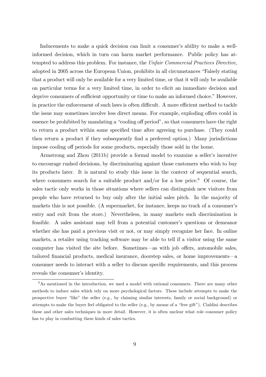Inducements to make a quick decision can limit a consumer's ability to make a wellinformed decision, which in turn can harm market performance. Public policy has attempted to address this problem. For instance, the Unfair Commercial Practices Directive, adopted in 2005 across the European Union, prohibits in all circumstances "Falsely stating that a product will only be available for a very limited time, or that it will only be available on particular terms for a very limited time, in order to elicit an immediate decision and deprive consumers of sufficient opportunity or time to make an informed choice." However, in practice the enforcement of such laws is often difficult. A more efficient method to tackle the issue may sometimes involve less direct means. For example, exploding offers could in essence be prohibited by mandating a "cooling off period", so that consumers have the right to return a product within some specified time after agreeing to purchase. (They could then return a product if they subsequently find a preferred option.) Many jurisdictions impose cooling off periods for some products, especially those sold in the home.

Armstrong and Zhou (2011b) provide a formal model to examine a seller's incentive to encourage rushed decisions, by discriminating against those customers who wish to buy its products later. It is natural to study this issue in the context of sequential search, where consumers search for a suitable product and/or for a low price.<sup>6</sup> Of course, the sales tactic only works in those situations where sellers can distinguish new visitors from people who have returned to buy only after the initial sales pitch. In the majority of markets this is not possible. (A supermarket, for instance, keeps no track of a consumer's entry and exit from the store.) Nevertheless, in many markets such discrimination is feasible. A sales assistant may tell from a potential customer's questions or demeanor whether she has paid a previous visit or not, or may simply recognize her face. In online markets, a retailer using tracking software may be able to tell if a visitor using the same computer has visited the site before. Sometimes—as with job offers, automobile sales, tailored financial products, medical insurance, doorstep sales, or home improvements—a consumer needs to interact with a seller to discuss specific requirements, and this process reveals the consumer's identity.

 $6$ As mentioned in the introduction, we used a model with rational consumers. There are many other methods to induce sales which rely on more psychological factors. These include attempts to make the prospective buyer "like" the seller (e.g., by claiming similar interests, family or social background) or attempts to make the buyer feel obligated to the seller (e.g., by means of a "free gift"). Cialdini describes these and other sales techniques in more detail. However, it is often unclear what role consumer policy has to play in combatting these kinds of sales tactics.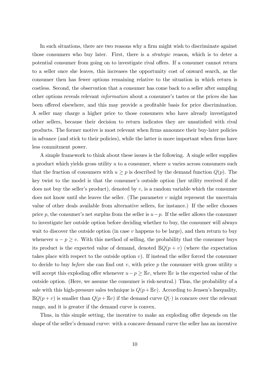In such situations, there are two reasons why a firm might wish to discriminate against those consumers who buy later. First, there is a strategic reason, which is to deter a potential consumer from going on to investigate rival offers. If a consumer cannot return to a seller once she leaves, this increases the opportunity cost of onward search, as the consumer then has fewer options remaining relative to the situation in which return is costless. Second, the observation that a consumer has come back to a seller after sampling other options reveals relevant *information* about a consumer's tastes or the prices she has been offered elsewhere, and this may provide a profitable basis for price discrimination. A seller may charge a higher price to those consumers who have already investigated other sellers, because their decision to return indicates they are unsatisfied with rival products. The former motive is most relevant when Örms announce their buy-later policies in advance (and stick to their policies), while the latter is more important when firms have less commitment power.

A simple framework to think about these issues is the following. A single seller supplies a product which yields gross utility  $u$  to a consumer, where  $u$  varies across consumers such that the fraction of consumers with  $u \geq p$  is described by the demand function  $Q(p)$ . The key twist to the model is that the consumer's outside option (her utility received if she does not buy the seller's product), denoted by  $v$ , is a random variable which the consumer does not know until she leaves the seller. (The parameter  $v$  might represent the uncertain value of other deals available from alternative sellers, for instance.) If the seller chooses price p, the consumer's net surplus from the seller is  $u-p$ . If the seller allows the consumer to investigate her outside option before deciding whether to buy, the consumer will always wait to discover the outside option (in case  $v$  happens to be large), and then return to buy whenever  $u - p \geq v$ . With this method of selling, the probability that the consumer buys its product is the expected value of demand, denoted  $\mathbb{E}Q(p+v)$  (where the expectation takes place with respect to the outside option  $v$ ). If instead the seller forced the consumer to decide to buy *before* she can find out v, with price p the consumer with gross utility u will accept this exploding offer whenever  $u-p \geq \mathbb{E}v$ , where  $\mathbb{E}v$  is the expected value of the outside option. (Here, we assume the consumer is risk-neutral.) Thus, the probability of a sale with this high-pressure sales technique is  $Q(p+\mathbb{E}v)$ . According to Jensen's Inequality,  $\mathbb{E}Q(p+v)$  is smaller than  $Q(p+\mathbb{E}v)$  if the demand curve  $Q(\cdot)$  is concave over the relevant range, and it is greater if the demand curve is convex.

Thus, in this simple setting, the incentive to make an exploding offer depends on the shape of the seller's demand curve: with a concave demand curve the seller has an incentive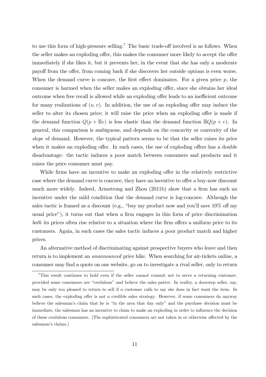to use this form of high-pressure selling.<sup>7</sup> The basic trade-off involved is as follows. When the seller makes an exploding offer, this makes the consumer more likely to accept the offer immediately if she likes it, but it prevents her, in the event that she has only a moderate payoff from the offer, from coming back if she discovers her outside options is even worse. When the demand curve is concave, the first effect dominates. For a given price  $p$ , the consumer is harmed when the seller makes an exploding offer, since she obtains her ideal outcome when free recall is allowed while an exploding offer leads to an inefficient outcome for many realizations of  $(u, v)$ . In addition, the use of an exploding offer may induce the seller to alter its chosen price; it will raise the price when an exploding offer is made if the demand function  $Q(p + \mathbb{E}v)$  is less elastic than the demand function  $\mathbb{E}Q(p + v)$ . In general, this comparison is ambiguous, and depends on the concavity or convexity of the slope of demand. However, the typical pattern seems to be that the seller raises its price when it makes an exploding offer. In such cases, the use of exploding offers has a double disadvantage: the tactic induces a poor match between consumers and products and it raises the price consumer must pay.

While firms have an incentive to make an exploding offer in the relatively restrictive case where the demand curve is concave, they have an incentive to offer a buy-now discount much more widely. Indeed, Armstrong and Zhou (2011b) show that a firm has such an incentive under the mild condition that the demand curve is log-concave. Although the sales tactic is framed as a discount (e.g., "buy my product now and you'll save  $10\%$  off my usual price"), it turns out that when a firm engages in this form of price discrimination both its prices often rise relative to a situation where the firm offers a uniform price to its customers. Again, in such cases the sales tactic induces a poor product match and higher prices.

An alternative method of discriminating against prospective buyers who leave and then return is to implement an unannounced price hike. When searching for air-tickets online, a consumer may find a quote on one website, go on to investigate a rival seller, only to return

<sup>&</sup>lt;sup>7</sup>This result continues to hold even if the seller cannot commit not to serve a returning customer, provided some consumers are "credulous" and believe the sales patter. In reality, a doorstep seller, say, may be only too pleased to return to sell if a customer calls to say she does in fact want the item. In such cases, the exploding offer is not a credible sales strategy. However, if some consumers do anyway believe the salesman's claim that he is "in the area that day only" and the purchase decision must be immediate, the salesman has an incentive to claim to make an exploding in order to influence the decision of these credulous consumers. (The sophisticated consumers are not taken in or otherwise affected by the salesman's claims.)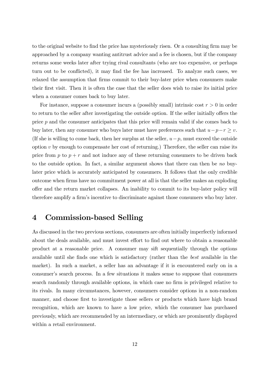to the original website to find the price has mysteriously risen. Or a consulting firm may be approached by a company wanting antitrust advice and a fee is chosen, but if the company returns some weeks later after trying rival consultants (who are too expensive, or perhaps turn out to be conflicted), it may find the fee has increased. To analyze such cases, we relaxed the assumption that firms commit to their buy-later price when consumers make their Örst visit. Then it is often the case that the seller does wish to raise its initial price when a consumer comes back to buy later.

For instance, suppose a consumer incurs a (possibly small) intrinsic cost  $r > 0$  in order to return to the seller after investigating the outside option. If the seller initially offers the price  $p$  and the consumer anticipates that this price will remain valid if she comes back to buy later, then any consumer who buys later must have preferences such that  $u-p-r \geq v$ . (If she is willing to come back, then her surplus at the seller,  $u-p$ , must exceed the outside option  $v$  by enough to compensate her cost of returning.) Therefore, the seller can raise its price from p to  $p + r$  and not induce any of these returning consumers to be driven back to the outside option. In fact, a similar argument shows that there can then be no buylater price which is accurately anticipated by consumers. It follows that the only credible outcome when Örms have no commitment power at all is that the seller makes an exploding offer and the return market collapses. An inability to commit to its buy-later policy will therefore amplify a firm's incentive to discriminate against those consumers who buy later.

#### 4 Commission-based Selling

As discussed in the two previous sections, consumers are often initially imperfectly informed about the deals available, and must invest effort to find out where to obtain a reasonable product at a reasonable price. A consumer may sift sequentially through the options available until she finds one which is satisfactory (rather than the *best* available in the market). In such a market, a seller has an advantage if it is encountered early on in a consumer's search process. In a few situations it makes sense to suppose that consumers search randomly through available options, in which case no firm is privileged relative to its rivals. In many circumstances, however, consumers consider options in a non-random manner, and choose first to investigate those sellers or products which have high brand recognition, which are known to have a low price, which the consumer has purchased previously, which are recommended by an intermediary, or which are prominently displayed within a retail environment.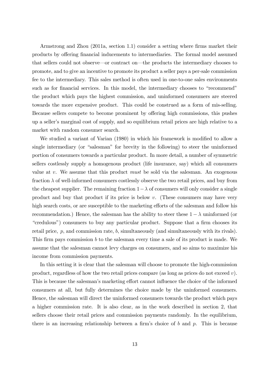Armstrong and Zhou (2011a, section 1.1) consider a setting where firms market their products by offering financial inducements to intermediaries. The formal model assumed that sellers could not observe—or contract on—the products the intermediary chooses to promote, and to give an incentive to promote its product a seller pays a per-sale commission fee to the intermediary. This sales method is often used in one-to-one sales environments such as for financial services. In this model, the intermediary chooses to "recommend" the product which pays the highest commission, and uninformed consumers are steered towards the more expensive product. This could be construed as a form of mis-selling. Because sellers compete to become prominent by offering high commissions, this pushes up a sellerís marginal cost of supply, and so equilibrium retail prices are high relative to a market with random consumer search.

We studied a variant of Varian (1980) in which his framework is modified to allow a single intermediary (or "salesman" for brevity in the following) to steer the uninformed portion of consumers towards a particular product. In more detail, a number of symmetric sellers costlessly supply a homogenous product (life insurance, say) which all consumers value at  $v$ . We assume that this product must be sold via the salesman. An exogenous fraction  $\lambda$  of well-informed consumers costlessly observe the two retail prices, and buy from the cheapest supplier. The remaining fraction  $1 - \lambda$  of consumers will only consider a single product and buy that product if its price is below v. (These consumers may have very high search costs, or are susceptible to the marketing efforts of the salesman and follow his recommendation.) Hence, the salesman has the ability to steer these  $1 - \lambda$  uninformed (or "credulous") consumers to buy any particular product. Suppose that a firm chooses its retail price, p, and commission rate, b, simultaneously (and simultaneously with its rivals). This firm pays commission  $b$  to the salesman every time a sale of its product is made. We assume that the salesman cannot levy charges on consumers, and so aims to maximize his income from commission payments.

In this setting it is clear that the salesman will choose to promote the high-commission product, regardless of how the two retail prices compare (as long as prices do not exceed v). This is because the salesman's marketing effort cannot influence the choice of the informed consumers at all, but fully determines the choice made by the uninformed consumers. Hence, the salesman will direct the uninformed consumers towards the product which pays a higher commission rate. It is also clear, as in the work described in section 2, that sellers choose their retail prices and commission payments randomly. In the equilibrium, there is an increasing relationship between a firm's choice of b and p. This is because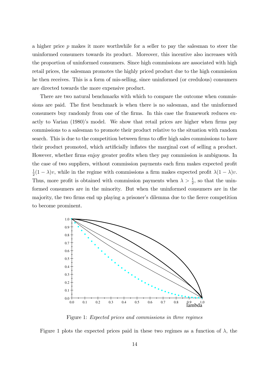a higher price  $p$  makes it more worthwhile for a seller to pay the salesman to steer the uninformed consumers towards its product. Moreover, this incentive also increases with the proportion of uninformed consumers. Since high commissions are associated with high retail prices, the salesman promotes the highly priced product due to the high commission he then receives. This is a form of mis-selling, since uninformed (or credulous) consumers are directed towards the more expensive product.

There are two natural benchmarks with which to compare the outcome when commissions are paid. The first benchmark is when there is no salesman, and the uninformed consumers buy randomly from one of the firms. In this case the framework reduces exactly to Varian (1980)'s model. We show that retail prices are higher when firms pay commissions to a salesman to promote their product relative to the situation with random search. This is due to the competition between firms to offer high sales commissions to have their product promoted, which artificially inflates the marginal cost of selling a product. However, whether firms enjoy greater profits when they pay commission is ambiguous. In the case of two suppliers, without commission payments each firm makes expected profit 1  $\frac{1}{2}(1 - \lambda)v$ , while in the regime with commissions a firm makes expected profit  $\lambda(1 - \lambda)v$ . Thus, more profit is obtained with commission payments when  $\lambda > \frac{1}{2}$ , so that the uninformed consumers are in the minority. But when the uninformed consumers are in the majority, the two firms end up playing a prisoner's dilemma due to the fierce competition to become prominent.



Figure 1: Expected prices and commissions in three regimes

Figure 1 plots the expected prices paid in these two regimes as a function of  $\lambda$ , the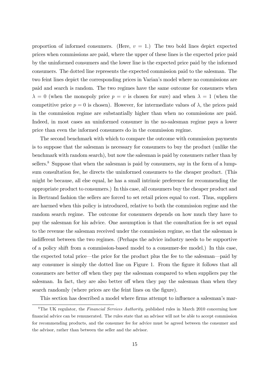proportion of informed consumers. (Here,  $v = 1$ .) The two bold lines depict expected prices when commissions are paid, where the upper of these lines is the expected price paid by the uninformed consumers and the lower line is the expected price paid by the informed consumers. The dotted line represents the expected commission paid to the salesman. The two feint lines depict the corresponding prices in Varian's model where no commissions are paid and search is random. The two regimes have the same outcome for consumers when  $\lambda = 0$  (when the monopoly price  $p = v$  is chosen for sure) and when  $\lambda = 1$  (when the competitive price  $p = 0$  is chosen). However, for intermediate values of  $\lambda$ , the prices paid in the commission regime are substantially higher than when no commissions are paid. Indeed, in most cases an uninformed consumer in the no-salesman regime pays a lower price than even the informed consumers do in the commission regime.

The second benchmark with which to compare the outcome with commission payments is to suppose that the salesman is necessary for consumers to buy the product (unlike the benchmark with random search), but now the salesman is paid by consumers rather than by sellers.<sup>8</sup> Suppose that when the salesman is paid by consumers, say in the form of a lumpsum consultation fee, he directs the uninformed consumers to the cheaper product. (This might be because, all else equal, he has a small intrinsic preference for recommending the appropriate product to consumers.) In this case, all consumers buy the cheaper product and in Bertrand fashion the sellers are forced to set retail prices equal to cost. Thus, suppliers are harmed when this policy is introduced, relative to both the commission regime and the random search regime. The outcome for consumers depends on how much they have to pay the salesman for his advice. One assumption is that the consultation fee is set equal to the revenue the salesman received under the commission regime, so that the salesman is indifferent between the two regimes. (Perhaps the advice industry needs to be supportive of a policy shift from a commission-based model to a consumer-fee model.) In this case, the expected total price—the price for the product plus the fee to the salesman—paid by any consumer is simply the dotted line on Figure 1. From the figure it follows that all consumers are better off when they pay the salesman compared to when suppliers pay the salesman. In fact, they are also better off when they pay the salesman than when they search randomly (where prices are the feint lines on the figure).

This section has described a model where firms attempt to influence a salesman's mar-

<sup>&</sup>lt;sup>8</sup>The UK regulator, the Financial Services Authority, published rules in March 2010 concerning how Önancial advice can be remunerated. The rules state that an advisor will not be able to accept commission for recommending products, and the consumer fee for advice must be agreed between the consumer and the advisor, rather than between the seller and the advisor.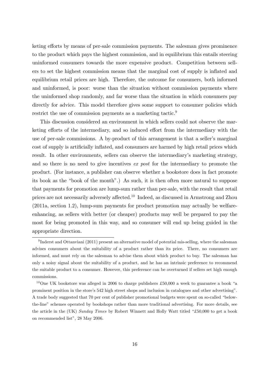keting efforts by means of per-sale commission payments. The salesman gives prominence to the product which pays the highest commission, and in equilibrium this entails steering uninformed consumers towards the more expensive product. Competition between sellers to set the highest commission means that the marginal cost of supply is inflated and equilibrium retail prices are high. Therefore, the outcome for consumers, both informed and uninformed, is poor: worse than the situation without commission payments where the uninformed shop randomly, and far worse than the situation in which consumers pay directly for advice. This model therefore gives some support to consumer policies which restrict the use of commission payments as a marketing tactic.<sup>9</sup>

This discussion considered an environment in which sellers could not observe the marketing efforts of the intermediary, and so induced effort from the intermediary with the use of per-sale commissions. A by-product of this arrangement is that a seller's marginal cost of supply is artificially inflated, and consumers are harmed by high retail prices which result. In other environments, sellers can observe the intermediaryís marketing strategy, and so there is no need to give incentives ex post for the intermediary to promote the product. (For instance, a publisher can observe whether a bookstore does in fact promote its book as the "book of the month".) As such, it is then often more natural to suppose that payments for promotion are lump-sum rather than per-sale, with the result that retail prices are not necessarily adversely affected.<sup>10</sup> Indeed, as discussed in Armstrong and Zhou (2011a, section 1.2), lump-sum payments for product promotion may actually be welfareenhancing, as sellers with better (or cheaper) products may well be prepared to pay the most for being promoted in this way, and so consumer will end up being guided in the appropriate direction.

 $^{9}$ Inderst and Ottanviani (2011) present an alternative model of potential mis-selling, where the salesman advises consumers about the suitability of a product rather than its price. There, no consumers are informed, and must rely on the salesman to advise them about which product to buy. The salesman has only a noisy signal about the suitability of a product, and he has an intrinsic preference to recommend the suitable product to a consumer. However, this preference can be overturned if sellers set high enough commissions.

<sup>&</sup>lt;sup>10</sup>One UK bookstore was alleged in 2006 to charge publishers £50,000 a week to guarantee a book "a prominent position in the store's 542 high street shops and inclusion in catalogues and other advertising". A trade body suggested that 70 per cent of publisher promotional budgets were spent on so-called "belowthe-lineî schemes operated by bookshops rather than more traditional advertising. For more details, see the article in the (UK) Sunday Times by Robert Winnett and Holly Watt titled "£50,000 to get a book on recommended list", 28 May 2006.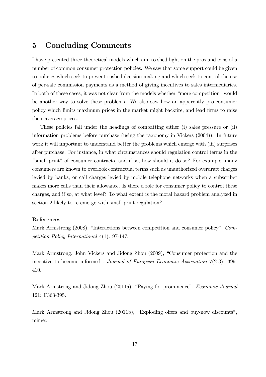#### 5 Concluding Comments

I have presented three theoretical models which aim to shed light on the pros and cons of a number of common consumer protection policies. We saw that some support could be given to policies which seek to prevent rushed decision making and which seek to control the use of per-sale commission payments as a method of giving incentives to sales intermediaries. In both of these cases, it was not clear from the models whether "more competition" would be another way to solve these problems. We also saw how an apparently pro-consumer policy which limits maximum prices in the market might backfire, and lead firms to raise their average prices.

These policies fall under the headings of combatting either (i) sales pressure or (ii) information problems before purchase (using the taxonomy in Vickers (2004)). In future work it will important to understand better the problems which emerge with (iii) surprises after purchase. For instance, in what circumstances should regulation control terms in the "small print" of consumer contracts, and if so, how should it do so? For example, many consumers are known to overlook contractual terms such as unauthorized overdraft charges levied by banks, or call charges levied by mobile telephone networks when a subscriber makes more calls than their allowance. Is there a role for consumer policy to control these charges, and if so, at what level? To what extent is the moral hazard problem analyzed in section 2 likely to re-emerge with small print regulation?

#### References

Mark Armstrong (2008), "Interactions between competition and consumer policy", Competition Policy International 4(1): 97-147.

Mark Armstrong, John Vickers and Jidong Zhou (2009), "Consumer protection and the incentive to become informed", Journal of European Economic Association 7(2-3): 399-410.

Mark Armstrong and Jidong Zhou (2011a), "Paying for prominence", *Economic Journal* 121: F363-395.

Mark Armstrong and Jidong Zhou (2011b), "Exploding offers and buy-now discounts", mimeo.